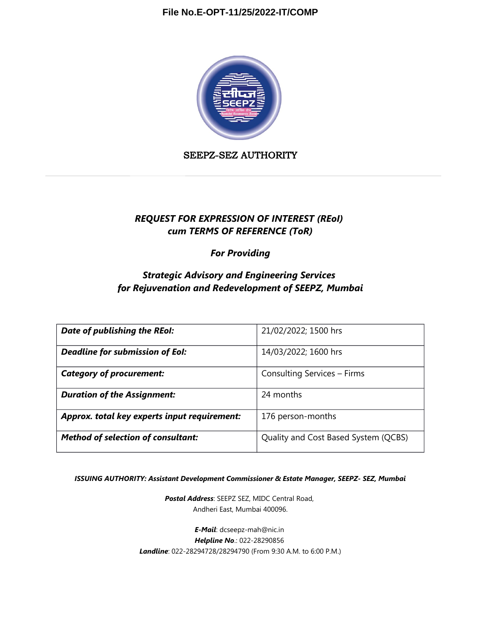

#### SEEPZ-SEZ AUTHORITY

## *REQUEST FOR EXPRESSION OF INTEREST (REoI) cum TERMS OF REFERENCE (ToR)*

### *For Providing*

# *Strategic Advisory and Engineering Services for Rejuvenation and Redevelopment of SEEPZ, Mumbai*

| Date of publishing the REoI:                                          | 21/02/2022; 1500 hrs                 |
|-----------------------------------------------------------------------|--------------------------------------|
| Deadline for submission of EoI:                                       | 14/03/2022; 1600 hrs                 |
| <b>Category of procurement:</b><br><b>Consulting Services - Firms</b> |                                      |
| <b>Duration of the Assignment:</b>                                    | 24 months                            |
| Approx. total key experts input requirement:                          | 176 person-months                    |
| <b>Method of selection of consultant:</b>                             | Quality and Cost Based System (QCBS) |

#### *ISSUING AUTHORITY: Assistant Development Commissioner & Estate Manager, SEEPZ- SEZ, Mumbai*

*Postal Address*: SEEPZ SEZ, MIDC Central Road, Andheri East, Mumbai 400096.

*E-Mail*: dcseepz-mah@nic.in *Helpline No*.: 022-28290856 *Landline*: 022-28294728/28294790 (From 9:30 A.M. to 6:00 P.M.)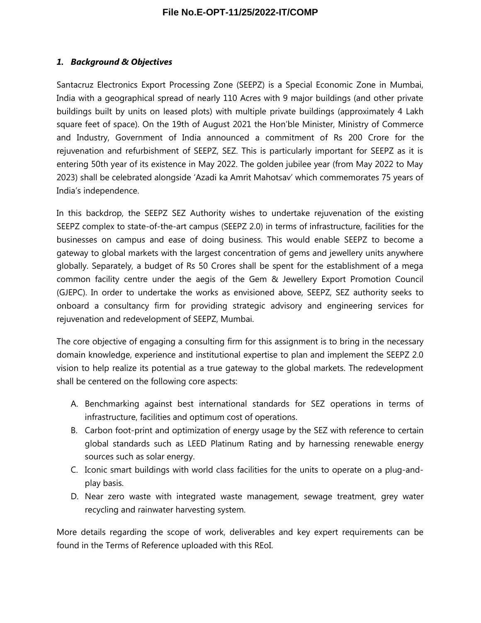### *1. Background & Objectives*

Santacruz Electronics Export Processing Zone (SEEPZ) is a Special Economic Zone in Mumbai, India with a geographical spread of nearly 110 Acres with 9 major buildings (and other private buildings built by units on leased plots) with multiple private buildings (approximately 4 Lakh square feet of space). On the 19th of August 2021 the Hon'ble Minister, Ministry of Commerce and Industry, Government of India announced a commitment of Rs 200 Crore for the rejuvenation and refurbishment of SEEPZ, SEZ. This is particularly important for SEEPZ as it is entering 50th year of its existence in May 2022. The golden jubilee year (from May 2022 to May 2023) shall be celebrated alongside 'Azadi ka Amrit Mahotsav' which commemorates 75 years of India's independence.

In this backdrop, the SEEPZ SEZ Authority wishes to undertake rejuvenation of the existing SEEPZ complex to state-of-the-art campus (SEEPZ 2.0) in terms of infrastructure, facilities for the businesses on campus and ease of doing business. This would enable SEEPZ to become a gateway to global markets with the largest concentration of gems and jewellery units anywhere globally. Separately, a budget of Rs 50 Crores shall be spent for the establishment of a mega common facility centre under the aegis of the Gem & Jewellery Export Promotion Council (GJEPC). In order to undertake the works as envisioned above, SEEPZ, SEZ authority seeks to onboard a consultancy firm for providing strategic advisory and engineering services for rejuvenation and redevelopment of SEEPZ, Mumbai.

The core objective of engaging a consulting firm for this assignment is to bring in the necessary domain knowledge, experience and institutional expertise to plan and implement the SEEPZ 2.0 vision to help realize its potential as a true gateway to the global markets. The redevelopment shall be centered on the following core aspects:

- A. Benchmarking against best international standards for SEZ operations in terms of infrastructure, facilities and optimum cost of operations.
- B. Carbon foot-print and optimization of energy usage by the SEZ with reference to certain global standards such as LEED Platinum Rating and by harnessing renewable energy sources such as solar energy.
- C. Iconic smart buildings with world class facilities for the units to operate on a plug-andplay basis.
- D. Near zero waste with integrated waste management, sewage treatment, grey water recycling and rainwater harvesting system.

More details regarding the scope of work, deliverables and key expert requirements can be found in the Terms of Reference uploaded with this REoI.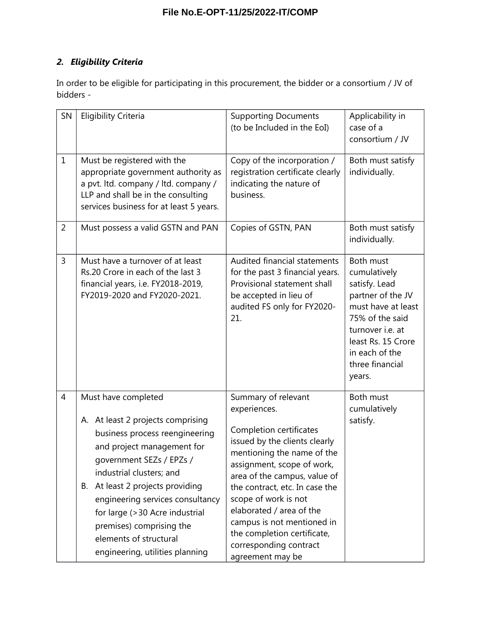## *2. Eligibility Criteria*

In order to be eligible for participating in this procurement, the bidder or a consortium / JV of bidders -

| SN             | <b>Eligibility Criteria</b>                                                                                                                                                                                                                                                                                                                                                            | <b>Supporting Documents</b><br>(to be Included in the EoI)                                                                                                                                                                                                                                                                                                                                   | Applicability in<br>case of a<br>consortium / JV                                                                                                                                                         |
|----------------|----------------------------------------------------------------------------------------------------------------------------------------------------------------------------------------------------------------------------------------------------------------------------------------------------------------------------------------------------------------------------------------|----------------------------------------------------------------------------------------------------------------------------------------------------------------------------------------------------------------------------------------------------------------------------------------------------------------------------------------------------------------------------------------------|----------------------------------------------------------------------------------------------------------------------------------------------------------------------------------------------------------|
| $\mathbf{1}$   | Must be registered with the<br>appropriate government authority as<br>a pvt. Itd. company / Itd. company /<br>LLP and shall be in the consulting<br>services business for at least 5 years.                                                                                                                                                                                            | Copy of the incorporation /<br>registration certificate clearly<br>indicating the nature of<br>business.                                                                                                                                                                                                                                                                                     | Both must satisfy<br>individually.                                                                                                                                                                       |
| $\overline{2}$ | Must possess a valid GSTN and PAN                                                                                                                                                                                                                                                                                                                                                      | Copies of GSTN, PAN                                                                                                                                                                                                                                                                                                                                                                          | Both must satisfy<br>individually.                                                                                                                                                                       |
| 3              | Must have a turnover of at least<br>Rs.20 Crore in each of the last 3<br>financial years, i.e. FY2018-2019,<br>FY2019-2020 and FY2020-2021.                                                                                                                                                                                                                                            | Audited financial statements<br>for the past 3 financial years.<br>Provisional statement shall<br>be accepted in lieu of<br>audited FS only for FY2020-<br>21.                                                                                                                                                                                                                               | Both must<br>cumulatively<br>satisfy. Lead<br>partner of the JV<br>must have at least<br>75% of the said<br>turnover <i>i.e.</i> at<br>least Rs. 15 Crore<br>in each of the<br>three financial<br>years. |
| $\overline{4}$ | Must have completed<br>A. At least 2 projects comprising<br>business process reengineering<br>and project management for<br>government SEZs / EPZs /<br>industrial clusters; and<br>At least 2 projects providing<br>В.<br>engineering services consultancy<br>for large (>30 Acre industrial<br>premises) comprising the<br>elements of structural<br>engineering, utilities planning | Summary of relevant<br>experiences.<br>Completion certificates<br>issued by the clients clearly<br>mentioning the name of the<br>assignment, scope of work,<br>area of the campus, value of<br>the contract, etc. In case the<br>scope of work is not<br>elaborated / area of the<br>campus is not mentioned in<br>the completion certificate,<br>corresponding contract<br>agreement may be | Both must<br>cumulatively<br>satisfy.                                                                                                                                                                    |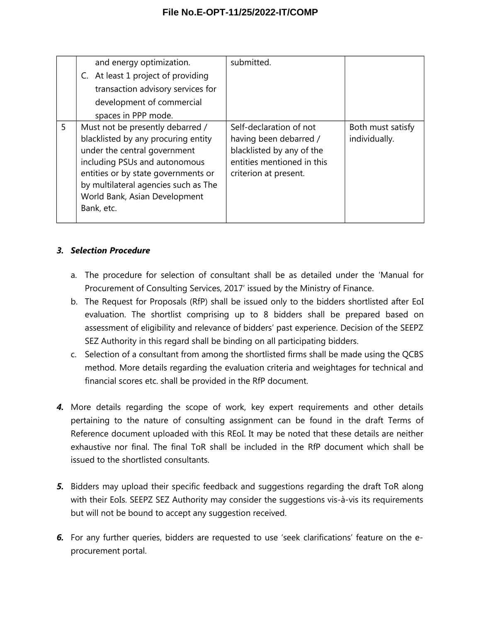|   | and energy optimization.<br>C. At least 1 project of providing<br>transaction advisory services for<br>development of commercial<br>spaces in PPP mode.                                                                                                                | submitted.                                                                                                                            |                                    |
|---|------------------------------------------------------------------------------------------------------------------------------------------------------------------------------------------------------------------------------------------------------------------------|---------------------------------------------------------------------------------------------------------------------------------------|------------------------------------|
| 5 | Must not be presently debarred /<br>blacklisted by any procuring entity<br>under the central government<br>including PSUs and autonomous<br>entities or by state governments or<br>by multilateral agencies such as The<br>World Bank, Asian Development<br>Bank, etc. | Self-declaration of not<br>having been debarred /<br>blacklisted by any of the<br>entities mentioned in this<br>criterion at present. | Both must satisfy<br>individually. |

### *3. Selection Procedure*

- a. The procedure for selection of consultant shall be as detailed under the 'Manual for Procurement of Consulting Services, 2017' issued by the Ministry of Finance.
- b. The Request for Proposals (RfP) shall be issued only to the bidders shortlisted after EoI evaluation. The shortlist comprising up to 8 bidders shall be prepared based on assessment of eligibility and relevance of bidders' past experience. Decision of the SEEPZ SEZ Authority in this regard shall be binding on all participating bidders.
- c. Selection of a consultant from among the shortlisted firms shall be made using the QCBS method. More details regarding the evaluation criteria and weightages for technical and financial scores etc. shall be provided in the RfP document.
- *4.* More details regarding the scope of work, key expert requirements and other details pertaining to the nature of consulting assignment can be found in the draft Terms of Reference document uploaded with this REoI. It may be noted that these details are neither exhaustive nor final. The final ToR shall be included in the RfP document which shall be issued to the shortlisted consultants.
- *5.* Bidders may upload their specific feedback and suggestions regarding the draft ToR along with their EoIs. SEEPZ SEZ Authority may consider the suggestions vis-à-vis its requirements but will not be bound to accept any suggestion received.
- **6.** For any further queries, bidders are requested to use 'seek clarifications' feature on the eprocurement portal.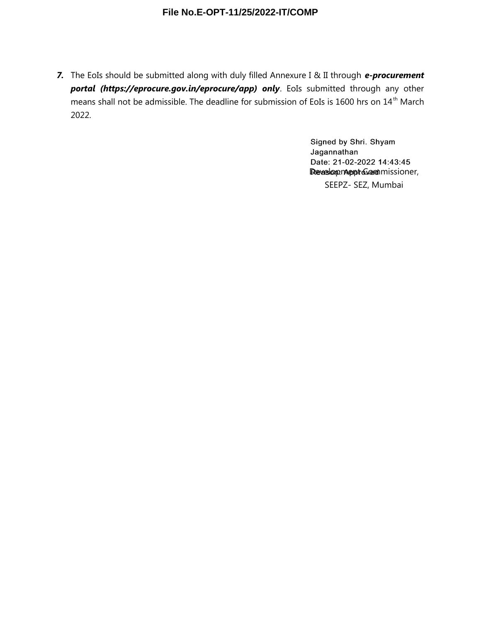*7.* The EoIs should be submitted along with duly filled Annexure I & II through *e-procurement portal (https://eprocure.gov.in/eprocure/app) only*. EoIs submitted through any other means shall not be admissible. The deadline for submission of EoIs is 1600 hrs on  $14<sup>th</sup>$  March 2022.

> Signed by Shri. Shyam Jagannathan Date: 21-02-2022 14:43:45 Bevesloopment Commissioner, SEEPZ- SEZ, Mumbai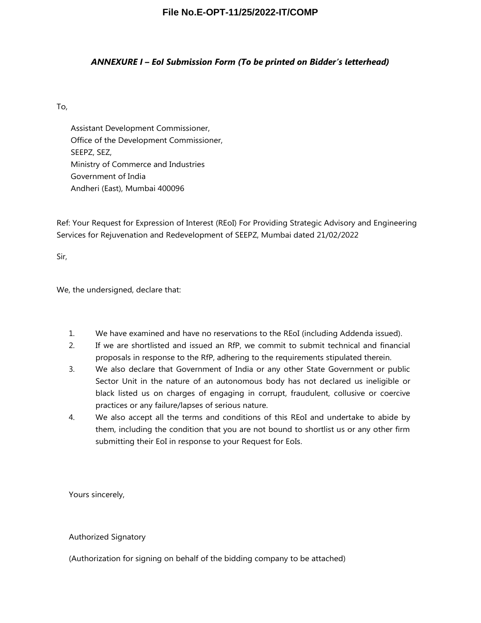#### *ANNEXURE I – EoI Submission Form (To be printed on Bidder's letterhead)*

To,

Assistant Development Commissioner, Office of the Development Commissioner, SEEPZ, SEZ, Ministry of Commerce and Industries Government of India Andheri (East), Mumbai 400096

Ref: Your Request for Expression of Interest (REoI) For Providing Strategic Advisory and Engineering Services for Rejuvenation and Redevelopment of SEEPZ, Mumbai dated 21/02/2022

Sir,

We, the undersigned, declare that:

- 1. We have examined and have no reservations to the REoI (including Addenda issued).
- 2. If we are shortlisted and issued an RfP, we commit to submit technical and financial proposals in response to the RfP, adhering to the requirements stipulated therein.
- 3. We also declare that Government of India or any other State Government or public Sector Unit in the nature of an autonomous body has not declared us ineligible or black listed us on charges of engaging in corrupt, fraudulent, collusive or coercive practices or any failure/lapses of serious nature.
- 4. We also accept all the terms and conditions of this REoI and undertake to abide by them, including the condition that you are not bound to shortlist us or any other firm submitting their EoI in response to your Request for EoIs.

Yours sincerely,

Authorized Signatory

(Authorization for signing on behalf of the bidding company to be attached)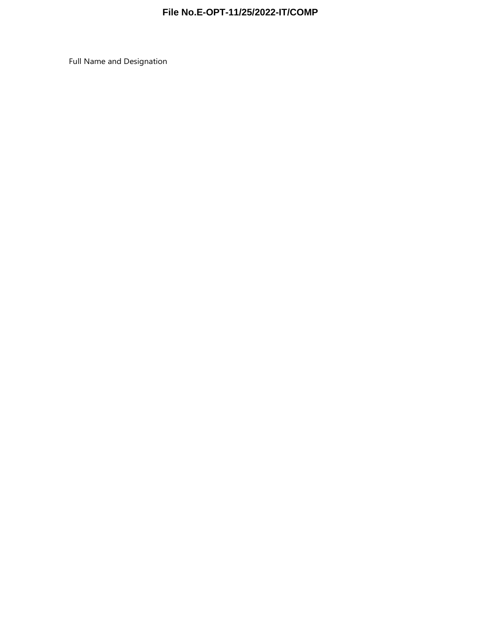Full Name and Designation